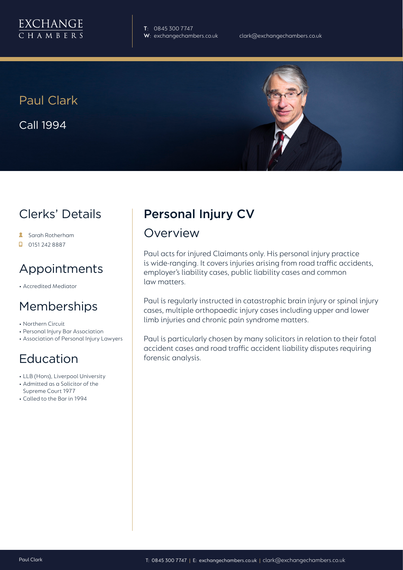

**T**: 0845 300 7747

Paul Clark Call 1994



## Clerks' Details

- Sarah Rotherham
- $\Box$  0151 242 8887

## Appointments

• Accredited Mediator

## Memberships

- Northern Circuit
- Personal Injury Bar Association
- Association of Personal Injury Lawyers

## Education

- LLB (Hons), Liverpool University
- Admitted as a Solicitor of the Supreme Court 1977
- Called to the Bar in 1994

# Personal Injury CV

#### Overview

Paul acts for injured Claimants only. His personal injury practice is wide-ranging. It covers injuries arising from road traffic accidents, employer's liability cases, public liability cases and common law matters.

Paul is regularly instructed in catastrophic brain injury or spinal injury cases, multiple orthopaedic injury cases including upper and lower limb injuries and chronic pain syndrome matters.

Paul is particularly chosen by many solicitors in relation to their fatal accident cases and road traffic accident liability disputes requiring forensic analysis.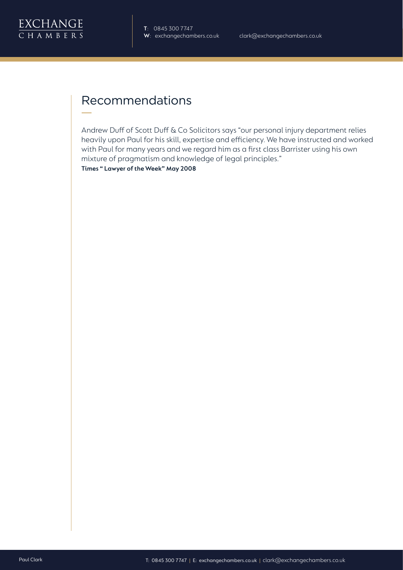

## Recommendations

Andrew Duff of Scott Duff & Co Solicitors says "our personal injury department relies heavily upon Paul for his skill, expertise and efficiency. We have instructed and worked with Paul for many years and we regard him as a first class Barrister using his own mixture of pragmatism and knowledge of legal principles."

**Times " Lawyer of the Week" May 2008**